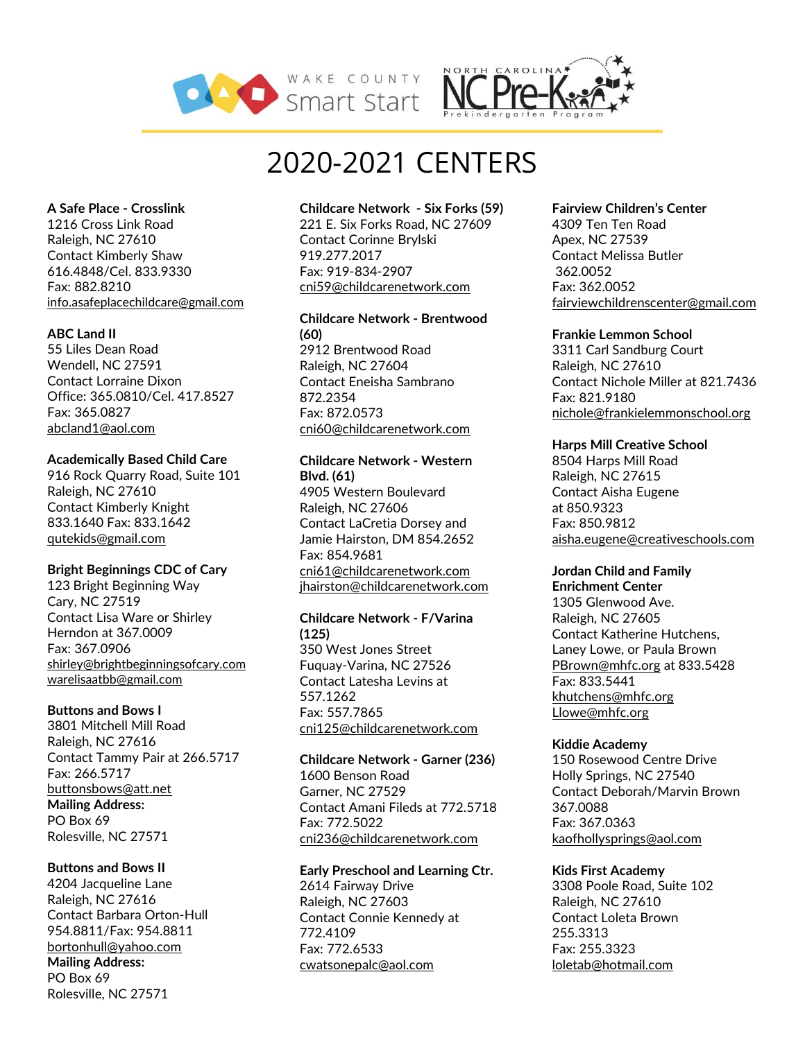



# 2020-2021 CENTERS

#### **A Safe Place - Crosslink**

1216 Cross Link Road Raleigh, NC 27610 Contact Kimberly Shaw 616.4848/Cel. 833.9330 Fax: 882.8210 [info.asafeplacechildcare@gmail.com](mailto:info.asafeplacechildcare@gmail.com)

# **ABC Land II**

55 Liles Dean Road Wendell, NC 27591 Contact Lorraine Dixon Office: 365.0810/Cel. 417.8527 Fax: 365.0827 [abcland1@aol.com](mailto:abcland1@aol.com)

#### **Academically Based Child Care**

916 Rock Quarry Road, Suite 101 Raleigh, NC 27610 Contact Kimberly Knight 833.1640 Fax: 833.1642 [qutekids@gmail.com](mailto:qutekids@gmail.com)

# **Bright Beginnings CDC of Cary**

123 Bright Beginning Way Cary, NC 27519 Contact Lisa Ware or Shirley Herndon at 367.0009 Fax: 367.0906 [shirley@brightbeginningsofcary.com](mailto:shirley@brightbeginningsofcary.com) [warelisaatbb@gmail.com](mailto:warelisaatbb@gmail.com)

# **Buttons and Bows I**

3801 Mitchell Mill Road Raleigh, NC 27616 Contact Tammy Pair at 266.5717 Fax: 266.5717 [buttonsbows@att.net](mailto:buttonsbows@att.net) **Mailing Address:** PO Box 69 Rolesville, NC 27571

# **Buttons and Bows II**

4204 Jacqueline Lane Raleigh, NC 27616 Contact Barbara Orton-Hull 954.8811/Fax: 954.8811 [bortonhull@yahoo.com](mailto:bortonhull@yahoo.com) **Mailing Address:** PO Box 69 Rolesville, NC 27571

#### **Childcare Network - Six Forks (59)**

221 E. Six Forks Road, NC 27609 Contact Corinne Brylski 919.277.2017 Fax: 919-834-2907 cni59@childcarenetwork.com

# **Childcare Network - Brentwood (60)**

2912 Brentwood Road Raleigh, NC 27604 Contact Eneisha Sambrano 872.2354 Fax: 872.0573 cni60@childcarenetwork.com

#### **Childcare Network - Western Blvd. (61)**

4905 Western Boulevard Raleigh, NC 27606 Contact LaCretia Dorsey and Jamie Hairston, DM 854.2652 Fax: 854.9681 [cni61@childcarenetwork.com](mailto:cni61@childcarenetwork.com) [jhairston@childcarenetwork.com](mailto:jhairston@childcarenetwork.com)

#### **Childcare Network - F/Varina (125)**

350 West Jones Street Fuquay-Varina, NC 27526 Contact Latesha Levins at 557.1262 Fax: 557.7865 cni125@childcarenetwork.com

# **Childcare Network - Garner (236)**

1600 Benson Road Garner, NC 27529 Contact Amani Fileds at 772.5718 Fax: 772.5022 [cni236@childcarenetwork.com](mailto:cni236@childcarenetwork.com)

# **Early Preschool and Learning Ctr.**

2614 Fairway Drive Raleigh, NC 27603 Contact Connie Kennedy at 772.4109 Fax: 772.6533 [cwatsonepalc@aol.com](mailto:cwatsonepalc@aol.com)

#### **Fairview Children's Center**

4309 Ten Ten Road Apex, NC 27539 Contact Melissa Butler 362.0052 Fax: 362.0052 [fairviewchildrenscenter@gmail.com](mailto:fairviewchildrenscenter@gmail.com)

#### **Frankie Lemmon School**

3311 Carl Sandburg Court Raleigh, NC 27610 Contact Nichole Miller at 821.7436 Fax: 821.9180 nichole@frankielemmonschool.org

#### **Harps Mill Creative School**

8504 Harps Mill Road Raleigh, NC 27615 Contact Aisha Eugene at 850.9323 Fax: 850.9812 [aisha.eugene@creativeschools.com](mailto:aisha.eugene@creativeschools.com)

# **Jordan Child and Family**

**Enrichment Center** 1305 Glenwood Ave. Raleigh, NC 27605 Contact Katherine Hutchens, Laney Lowe, or Paula Brown [PBrown@mhfc.org](mailto:PBrown@mhfc.org) at 833.5428 Fax: 833.5441 [khutchens@mhfc.org](mailto:khutchens@mhfc.org) Llowe@mhfc.org

# **Kiddie Academy**

150 Rosewood Centre Drive Holly Springs, NC 27540 Contact Deborah/Marvin Brown 367.0088 Fax: 367.0363 [kaofhollysprings@aol.com](mailto:kaofhollysprings@aol.com)

#### **Kids First Academy**

3308 Poole Road, Suite 102 Raleigh, NC 27610 Contact Loleta Brown 255.3313 Fax: 255.3323 [loletab@hotmail.com](mailto:loletab@hotmail.com)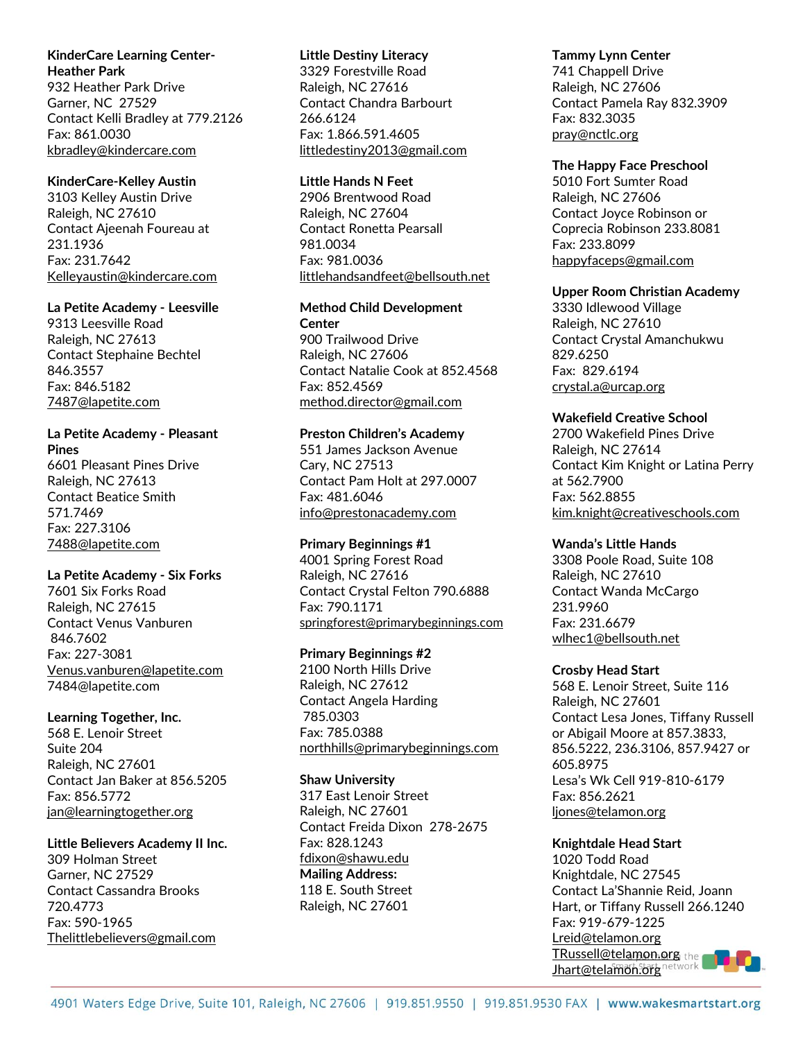# **KinderCare Learning Center-Heather Park**

932 Heather Park Drive Garner, NC 27529 Contact Kelli Bradley at 779.2126 Fax: 861.0030 kbradley@kindercare.com

# **KinderCare-Kelley Austin**

3103 Kelley Austin Drive Raleigh, NC 27610 Contact Ajeenah Foureau at 231.1936 Fax: 231.7642 Kelleyaustin@kindercare.com

#### **La Petite Academy - Leesville**

9313 Leesville Road Raleigh, NC 27613 Contact Stephaine Bechtel 846.3557 Fax: 846.5182 7487@lapetite.com

# **La Petite Academy - Pleasant**

**Pines** 6601 Pleasant Pines Drive Raleigh, NC 27613 Contact Beatice Smith 571.7469 Fax: 227.3106 [7488@lapetite.com](mailto:7488@lapetite.com)

# **La Petite Academy - Six Forks**

7601 Six Forks Road Raleigh, NC 27615 Contact Venus Vanburen 846.7602 Fax: 227-3081 [Venus.vanburen@lapetite.com](mailto:Venus.vanburen@lapetite.com) 7484@lapetite.com

# **Learning Together, Inc.**

568 E. Lenoir Street Suite 204 Raleigh, NC 27601 Contact Jan Baker at 856.5205 Fax: 856.5772 jan@learningtogether.org

# **Little Believers Academy II Inc.**

309 Holman Street Garner, NC 27529 Contact Cassandra Brooks 720.4773 Fax: 590-1965 Thelittlebelievers@gmail.com

#### **Little Destiny Literacy**

3329 Forestville Road Raleigh, NC 27616 Contact Chandra Barbourt 266.6124 Fax: 1.866.591.4605 littledestiny2013@gmail.com

# **Little Hands N Feet**

2906 Brentwood Road Raleigh, NC 27604 Contact Ronetta Pearsall 981.0034 Fax: 981.0036 littlehandsandfeet@bellsouth.net

# **Method Child Development Center**

900 Trailwood Drive Raleigh, NC 27606 Contact Natalie Cook at 852.4568 Fax: 852.4569 method.director@gmail.com

# **Preston Children's Academy**

551 James Jackson Avenue Cary, NC 27513 Contact Pam Holt at 297.0007 Fax: 481.6046 info@prestonacademy.com

# **Primary Beginnings #1**

4001 Spring Forest Road Raleigh, NC 27616 Contact Crystal Felton 790.6888 Fax: 790.1171 [springforest@primarybeginnings.com](mailto:springforest@primarybeginnings.com)

# **Primary Beginnings #2**

2100 North Hills Drive Raleigh, NC 27612 Contact Angela Harding 785.0303 Fax: 785.0388 [northhills@primarybeginnings.com](mailto:northhills@primarybeginnings.com)

# **Shaw University**

317 East Lenoir Street Raleigh, NC 27601 Contact Freida Dixon 278-2675 Fax: 828.1243 [fdixon@shawu.edu](mailto:fdixon@shawu.edu) **Mailing Address:**  118 E. South Street Raleigh, NC 27601

# **Tammy Lynn Center**

741 Chappell Drive Raleigh, NC 27606 Contact Pamela Ray 832.3909 Fax: 832.3035 pray@nctlc.org

#### **The Happy Face Preschool**

5010 Fort Sumter Road Raleigh, NC 27606 Contact Joyce Robinson or Coprecia Robinson 233.8081 Fax: 233.8099 happyfaceps@gmail.com

#### **Upper Room Christian Academy**

3330 Idlewood Village Raleigh, NC 27610 Contact Crystal Amanchukwu 829.6250 Fax: 829.6194 crystal.a@urcap.org

#### **Wakefield Creative School**

2700 Wakefield Pines Drive Raleigh, NC 27614 Contact Kim Knight or Latina Perry at 562.7900 Fax: 562.8855 [kim.knight@creativeschools.com](mailto:kim.knight@creativeschools.com)

# **Wanda's Little Hands**

3308 Poole Road, Suite 108 Raleigh, NC 27610 Contact Wanda McCargo 231.9960 Fax: 231.6679 [wlhec1@bellsouth.net](mailto:wlhec1@bellsouth.net)

# **Crosby Head Start**

568 E. Lenoir Street, Suite 116 Raleigh, NC 27601 Contact Lesa Jones, Tiffany Russell or Abigail Moore at 857.3833, 856.5222, 236.3106, 857.9427 or 605.8975 Lesa's Wk Cell 919-810-6179 Fax: 856.2621 [ljones@telamon.org](mailto:ljones@telamon.org)

# **Knightdale Head Start**

1020 Todd Road Knightdale, NC 27545 Contact La'Shannie Reid, Joann Hart, or Tiffany Russell 266.1240 Fax: 919-679-1225 Lreid@telamon.org TRussell@telamon.org Jhart@telamon.org